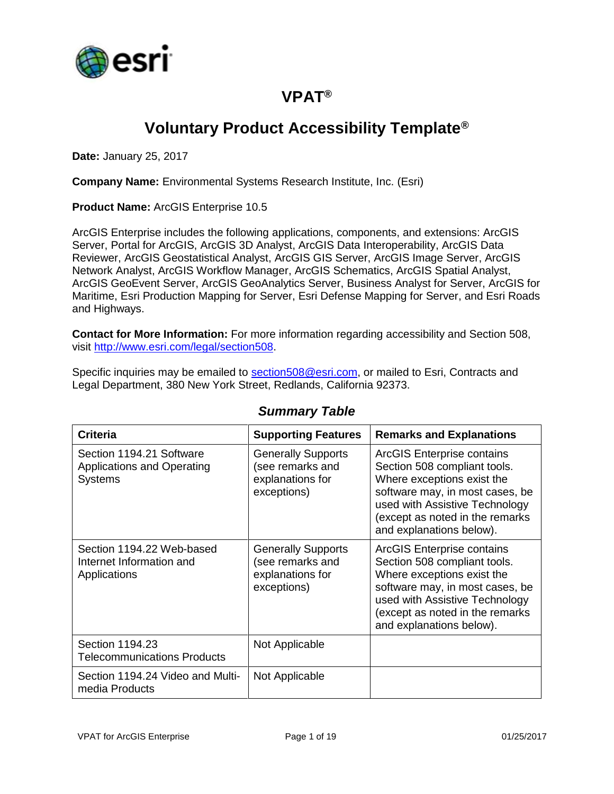

## **VPAT®**

# **Voluntary Product Accessibility Template®**

**Date:** January 25, 2017

**Company Name:** Environmental Systems Research Institute, Inc. (Esri)

**Product Name:** ArcGIS Enterprise 10.5

ArcGIS Enterprise includes the following applications, components, and extensions: ArcGIS Server, Portal for ArcGIS, ArcGIS 3D Analyst, ArcGIS Data Interoperability, ArcGIS Data Reviewer, ArcGIS Geostatistical Analyst, ArcGIS GIS Server, ArcGIS Image Server, ArcGIS Network Analyst, ArcGIS Workflow Manager, ArcGIS Schematics, ArcGIS Spatial Analyst, ArcGIS GeoEvent Server, ArcGIS GeoAnalytics Server, Business Analyst for Server, ArcGIS for Maritime, Esri Production Mapping for Server, Esri Defense Mapping for Server, and Esri Roads and Highways.

**Contact for More Information:** For more information regarding accessibility and Section 508, visit [http://www.esri.com/legal/section508.](http://www.esri.com/legal/section508)

Specific inquiries may be emailed to [section508@esri.com,](mailto:section508@esri.com) or mailed to Esri, Contracts and Legal Department, 380 New York Street, Redlands, California 92373.

| <b>Criteria</b>                                                                 | <b>Supporting Features</b>                                                       | <b>Remarks and Explanations</b>                                                                                                                                                                                              |
|---------------------------------------------------------------------------------|----------------------------------------------------------------------------------|------------------------------------------------------------------------------------------------------------------------------------------------------------------------------------------------------------------------------|
| Section 1194.21 Software<br><b>Applications and Operating</b><br><b>Systems</b> | <b>Generally Supports</b><br>(see remarks and<br>explanations for<br>exceptions) | ArcGIS Enterprise contains<br>Section 508 compliant tools.<br>Where exceptions exist the<br>software may, in most cases, be<br>used with Assistive Technology<br>(except as noted in the remarks<br>and explanations below). |
| Section 1194.22 Web-based<br>Internet Information and<br>Applications           | <b>Generally Supports</b><br>(see remarks and<br>explanations for<br>exceptions) | ArcGIS Enterprise contains<br>Section 508 compliant tools.<br>Where exceptions exist the<br>software may, in most cases, be<br>used with Assistive Technology<br>(except as noted in the remarks<br>and explanations below). |
| Section 1194.23<br><b>Telecommunications Products</b>                           | Not Applicable                                                                   |                                                                                                                                                                                                                              |
| Section 1194.24 Video and Multi-<br>media Products                              | Not Applicable                                                                   |                                                                                                                                                                                                                              |

#### *Summary Table*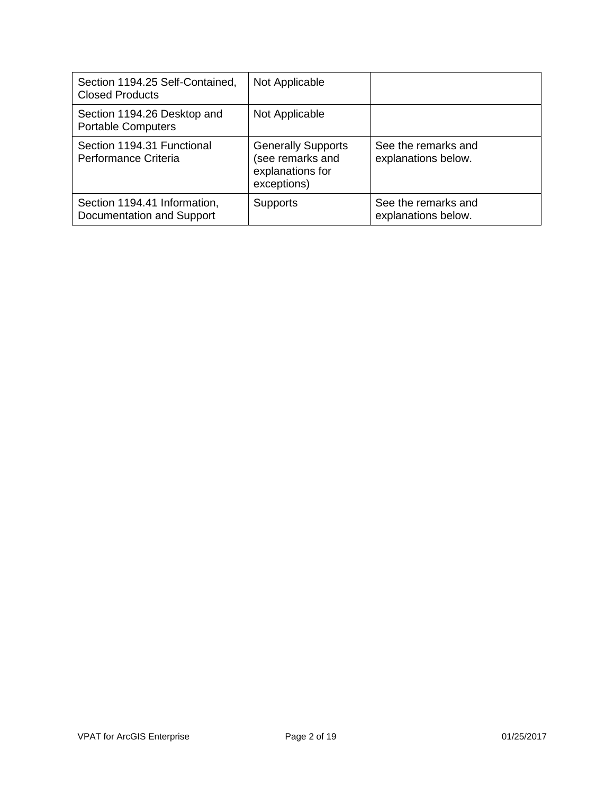| Section 1194.25 Self-Contained,<br><b>Closed Products</b> | Not Applicable                                                                   |                                            |
|-----------------------------------------------------------|----------------------------------------------------------------------------------|--------------------------------------------|
| Section 1194.26 Desktop and<br><b>Portable Computers</b>  | Not Applicable                                                                   |                                            |
| Section 1194.31 Functional<br>Performance Criteria        | <b>Generally Supports</b><br>(see remarks and<br>explanations for<br>exceptions) | See the remarks and<br>explanations below. |
| Section 1194.41 Information,<br>Documentation and Support | <b>Supports</b>                                                                  | See the remarks and<br>explanations below. |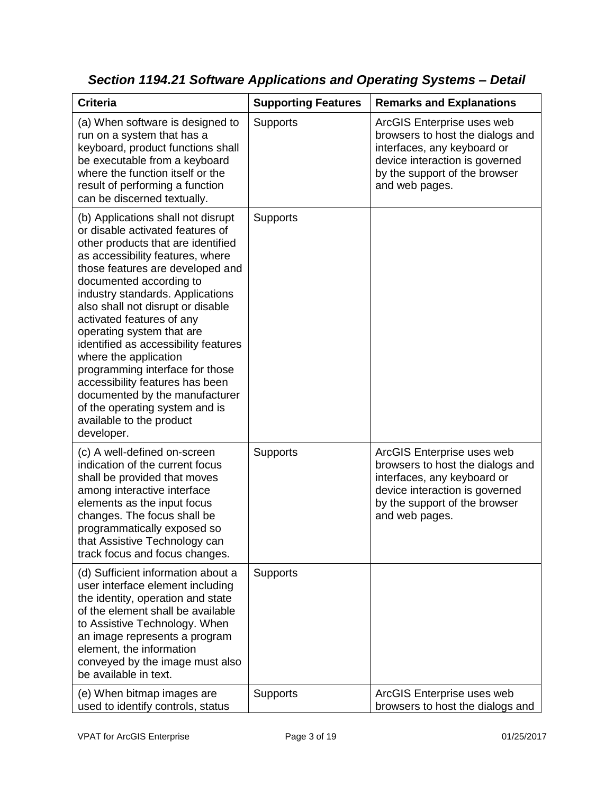| <b>Criteria</b>                                                                                                                                                                                                                                                                                                                                                                                                                                                                                                                                                                                         | <b>Supporting Features</b> | <b>Remarks and Explanations</b>                                                                                                                                                    |
|---------------------------------------------------------------------------------------------------------------------------------------------------------------------------------------------------------------------------------------------------------------------------------------------------------------------------------------------------------------------------------------------------------------------------------------------------------------------------------------------------------------------------------------------------------------------------------------------------------|----------------------------|------------------------------------------------------------------------------------------------------------------------------------------------------------------------------------|
| (a) When software is designed to<br>run on a system that has a<br>keyboard, product functions shall<br>be executable from a keyboard<br>where the function itself or the<br>result of performing a function<br>can be discerned textually.                                                                                                                                                                                                                                                                                                                                                              | <b>Supports</b>            | ArcGIS Enterprise uses web<br>browsers to host the dialogs and<br>interfaces, any keyboard or<br>device interaction is governed<br>by the support of the browser<br>and web pages. |
| (b) Applications shall not disrupt<br>or disable activated features of<br>other products that are identified<br>as accessibility features, where<br>those features are developed and<br>documented according to<br>industry standards. Applications<br>also shall not disrupt or disable<br>activated features of any<br>operating system that are<br>identified as accessibility features<br>where the application<br>programming interface for those<br>accessibility features has been<br>documented by the manufacturer<br>of the operating system and is<br>available to the product<br>developer. | <b>Supports</b>            |                                                                                                                                                                                    |
| (c) A well-defined on-screen<br>indication of the current focus<br>shall be provided that moves<br>among interactive interface<br>elements as the input focus<br>changes. The focus shall be<br>programmatically exposed so<br>that Assistive Technology can<br>track focus and focus changes.                                                                                                                                                                                                                                                                                                          | <b>Supports</b>            | ArcGIS Enterprise uses web<br>browsers to host the dialogs and<br>interfaces, any keyboard or<br>device interaction is governed<br>by the support of the browser<br>and web pages. |
| (d) Sufficient information about a<br>user interface element including<br>the identity, operation and state<br>of the element shall be available<br>to Assistive Technology. When<br>an image represents a program<br>element, the information<br>conveyed by the image must also<br>be available in text.                                                                                                                                                                                                                                                                                              | <b>Supports</b>            |                                                                                                                                                                                    |
| (e) When bitmap images are<br>used to identify controls, status                                                                                                                                                                                                                                                                                                                                                                                                                                                                                                                                         | <b>Supports</b>            | ArcGIS Enterprise uses web<br>browsers to host the dialogs and                                                                                                                     |

*Section 1194.21 Software Applications and Operating Systems – Detail*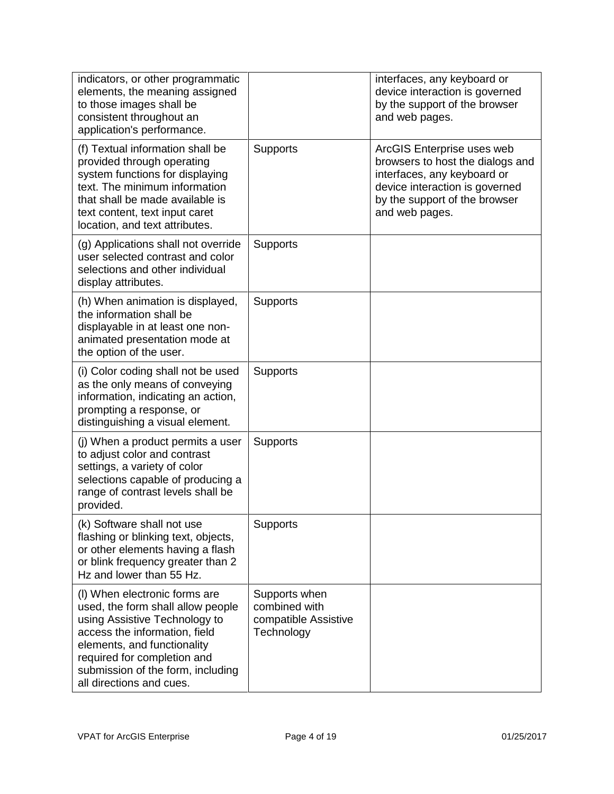| indicators, or other programmatic<br>elements, the meaning assigned<br>to those images shall be<br>consistent throughout an<br>application's performance.                                                                                                           |                                                                      | interfaces, any keyboard or<br>device interaction is governed<br>by the support of the browser<br>and web pages.                                                                   |
|---------------------------------------------------------------------------------------------------------------------------------------------------------------------------------------------------------------------------------------------------------------------|----------------------------------------------------------------------|------------------------------------------------------------------------------------------------------------------------------------------------------------------------------------|
| (f) Textual information shall be<br>provided through operating<br>system functions for displaying<br>text. The minimum information<br>that shall be made available is<br>text content, text input caret<br>location, and text attributes.                           | <b>Supports</b>                                                      | ArcGIS Enterprise uses web<br>browsers to host the dialogs and<br>interfaces, any keyboard or<br>device interaction is governed<br>by the support of the browser<br>and web pages. |
| (g) Applications shall not override<br>user selected contrast and color<br>selections and other individual<br>display attributes.                                                                                                                                   | <b>Supports</b>                                                      |                                                                                                                                                                                    |
| (h) When animation is displayed,<br>the information shall be<br>displayable in at least one non-<br>animated presentation mode at<br>the option of the user.                                                                                                        | <b>Supports</b>                                                      |                                                                                                                                                                                    |
| (i) Color coding shall not be used<br>as the only means of conveying<br>information, indicating an action,<br>prompting a response, or<br>distinguishing a visual element.                                                                                          | <b>Supports</b>                                                      |                                                                                                                                                                                    |
| (j) When a product permits a user<br>to adjust color and contrast<br>settings, a variety of color<br>selections capable of producing a<br>range of contrast levels shall be<br>provided.                                                                            | <b>Supports</b>                                                      |                                                                                                                                                                                    |
| (k) Software shall not use<br>flashing or blinking text, objects,<br>or other elements having a flash<br>or blink frequency greater than 2<br>Hz and lower than 55 Hz.                                                                                              | Supports                                                             |                                                                                                                                                                                    |
| (I) When electronic forms are<br>used, the form shall allow people<br>using Assistive Technology to<br>access the information, field<br>elements, and functionality<br>required for completion and<br>submission of the form, including<br>all directions and cues. | Supports when<br>combined with<br>compatible Assistive<br>Technology |                                                                                                                                                                                    |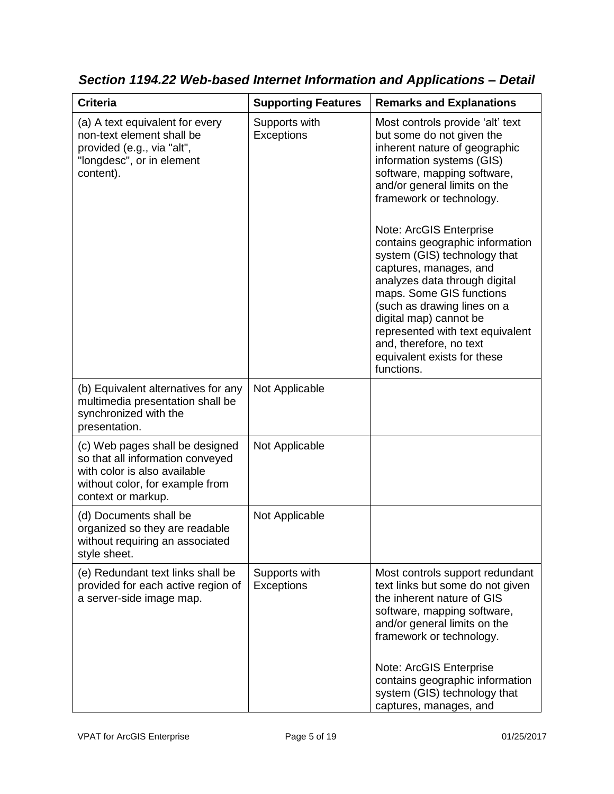| <b>Criteria</b>                                                                                                                                              | <b>Supporting Features</b>         | <b>Remarks and Explanations</b>                                                                                                                                                                                                                                                                                                                                                                                                                                                                                                                                                  |
|--------------------------------------------------------------------------------------------------------------------------------------------------------------|------------------------------------|----------------------------------------------------------------------------------------------------------------------------------------------------------------------------------------------------------------------------------------------------------------------------------------------------------------------------------------------------------------------------------------------------------------------------------------------------------------------------------------------------------------------------------------------------------------------------------|
| (a) A text equivalent for every<br>non-text element shall be<br>provided (e.g., via "alt",<br>"longdesc", or in element<br>content).                         | Supports with<br><b>Exceptions</b> | Most controls provide 'alt' text<br>but some do not given the<br>inherent nature of geographic<br>information systems (GIS)<br>software, mapping software,<br>and/or general limits on the<br>framework or technology.<br>Note: ArcGIS Enterprise<br>contains geographic information<br>system (GIS) technology that<br>captures, manages, and<br>analyzes data through digital<br>maps. Some GIS functions<br>(such as drawing lines on a<br>digital map) cannot be<br>represented with text equivalent<br>and, therefore, no text<br>equivalent exists for these<br>functions. |
| (b) Equivalent alternatives for any<br>multimedia presentation shall be<br>synchronized with the<br>presentation.                                            | Not Applicable                     |                                                                                                                                                                                                                                                                                                                                                                                                                                                                                                                                                                                  |
| (c) Web pages shall be designed<br>so that all information conveyed<br>with color is also available<br>without color, for example from<br>context or markup. | Not Applicable                     |                                                                                                                                                                                                                                                                                                                                                                                                                                                                                                                                                                                  |
| (d) Documents shall be<br>organized so they are readable<br>without requiring an associated<br>style sheet.                                                  | Not Applicable                     |                                                                                                                                                                                                                                                                                                                                                                                                                                                                                                                                                                                  |
| (e) Redundant text links shall be<br>provided for each active region of<br>a server-side image map.                                                          | Supports with<br><b>Exceptions</b> | Most controls support redundant<br>text links but some do not given<br>the inherent nature of GIS<br>software, mapping software,<br>and/or general limits on the<br>framework or technology.<br>Note: ArcGIS Enterprise<br>contains geographic information<br>system (GIS) technology that<br>captures, manages, and                                                                                                                                                                                                                                                             |

*Section 1194.22 Web-based Internet Information and Applications – Detail*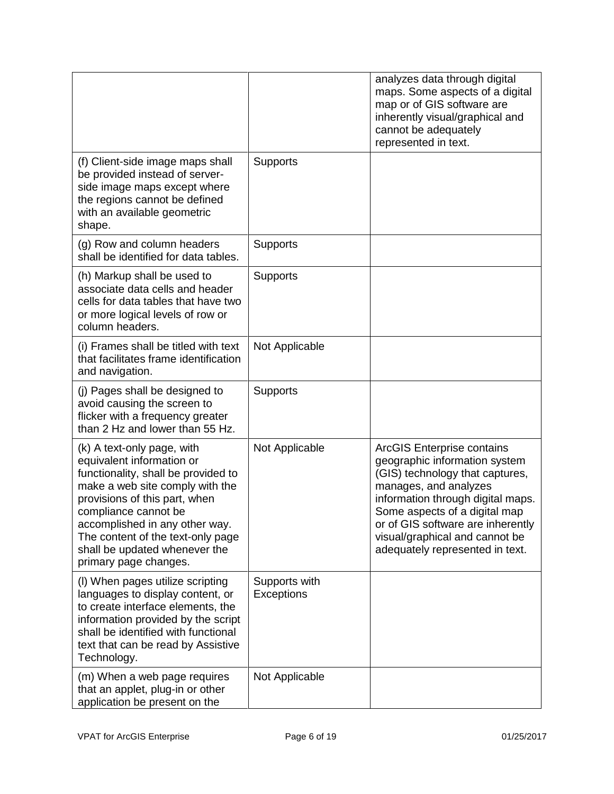|                                                                                                                                                                                                                                                                                                                             |                                    | analyzes data through digital<br>maps. Some aspects of a digital<br>map or of GIS software are<br>inherently visual/graphical and<br>cannot be adequately<br>represented in text.                                                                                                                              |
|-----------------------------------------------------------------------------------------------------------------------------------------------------------------------------------------------------------------------------------------------------------------------------------------------------------------------------|------------------------------------|----------------------------------------------------------------------------------------------------------------------------------------------------------------------------------------------------------------------------------------------------------------------------------------------------------------|
| (f) Client-side image maps shall<br>be provided instead of server-<br>side image maps except where<br>the regions cannot be defined<br>with an available geometric<br>shape.                                                                                                                                                | <b>Supports</b>                    |                                                                                                                                                                                                                                                                                                                |
| (g) Row and column headers<br>shall be identified for data tables.                                                                                                                                                                                                                                                          | <b>Supports</b>                    |                                                                                                                                                                                                                                                                                                                |
| (h) Markup shall be used to<br>associate data cells and header<br>cells for data tables that have two<br>or more logical levels of row or<br>column headers.                                                                                                                                                                | <b>Supports</b>                    |                                                                                                                                                                                                                                                                                                                |
| (i) Frames shall be titled with text<br>that facilitates frame identification<br>and navigation.                                                                                                                                                                                                                            | Not Applicable                     |                                                                                                                                                                                                                                                                                                                |
| (j) Pages shall be designed to<br>avoid causing the screen to<br>flicker with a frequency greater<br>than 2 Hz and lower than 55 Hz.                                                                                                                                                                                        | <b>Supports</b>                    |                                                                                                                                                                                                                                                                                                                |
| (k) A text-only page, with<br>equivalent information or<br>functionality, shall be provided to<br>make a web site comply with the<br>provisions of this part, when<br>compliance cannot be<br>accomplished in any other way.<br>The content of the text-only page<br>shall be updated whenever the<br>primary page changes. | Not Applicable                     | <b>ArcGIS Enterprise contains</b><br>geographic information system<br>(GIS) technology that captures,<br>manages, and analyzes<br>information through digital maps.<br>Some aspects of a digital map<br>or of GIS software are inherently<br>visual/graphical and cannot be<br>adequately represented in text. |
| (I) When pages utilize scripting<br>languages to display content, or<br>to create interface elements, the<br>information provided by the script<br>shall be identified with functional<br>text that can be read by Assistive<br>Technology.                                                                                 | Supports with<br><b>Exceptions</b> |                                                                                                                                                                                                                                                                                                                |
| (m) When a web page requires<br>that an applet, plug-in or other<br>application be present on the                                                                                                                                                                                                                           | Not Applicable                     |                                                                                                                                                                                                                                                                                                                |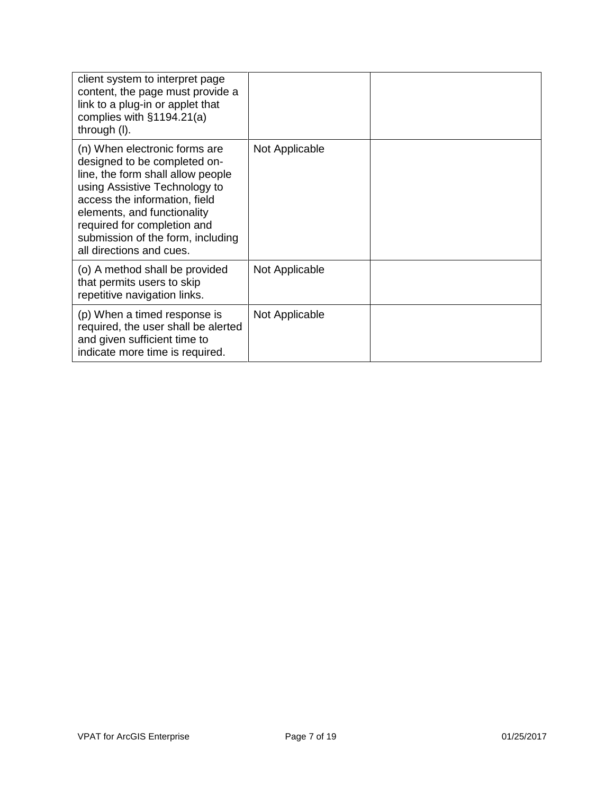| client system to interpret page<br>content, the page must provide a<br>link to a plug-in or applet that<br>complies with $§1194.21(a)$<br>through (I).                                                                                                                                              |                |  |
|-----------------------------------------------------------------------------------------------------------------------------------------------------------------------------------------------------------------------------------------------------------------------------------------------------|----------------|--|
| (n) When electronic forms are<br>designed to be completed on-<br>line, the form shall allow people<br>using Assistive Technology to<br>access the information, field<br>elements, and functionality<br>required for completion and<br>submission of the form, including<br>all directions and cues. | Not Applicable |  |
| (o) A method shall be provided<br>that permits users to skip<br>repetitive navigation links.                                                                                                                                                                                                        | Not Applicable |  |
| (p) When a timed response is<br>required, the user shall be alerted<br>and given sufficient time to<br>indicate more time is required.                                                                                                                                                              | Not Applicable |  |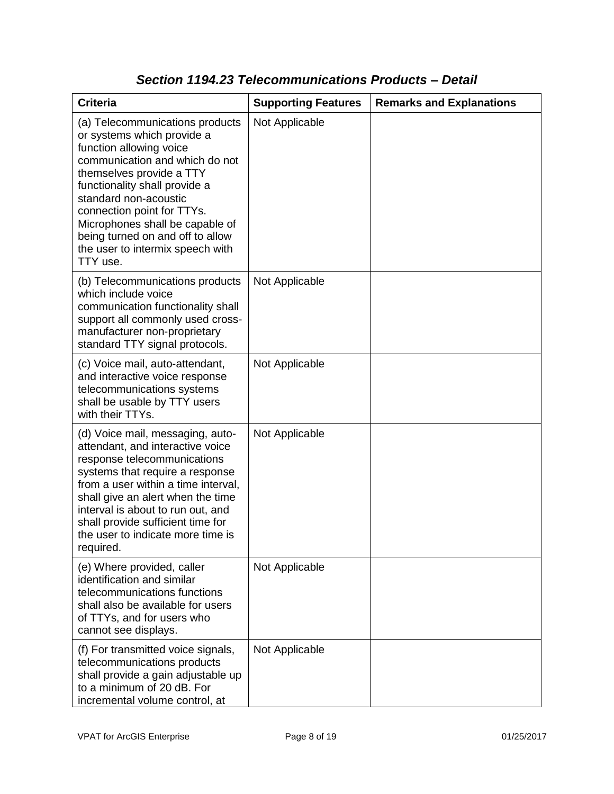| <b>Criteria</b>                                                                                                                                                                                                                                                                                                                                                       | <b>Supporting Features</b> | <b>Remarks and Explanations</b> |
|-----------------------------------------------------------------------------------------------------------------------------------------------------------------------------------------------------------------------------------------------------------------------------------------------------------------------------------------------------------------------|----------------------------|---------------------------------|
| (a) Telecommunications products<br>or systems which provide a<br>function allowing voice<br>communication and which do not<br>themselves provide a TTY<br>functionality shall provide a<br>standard non-acoustic<br>connection point for TTYs.<br>Microphones shall be capable of<br>being turned on and off to allow<br>the user to intermix speech with<br>TTY use. | Not Applicable             |                                 |
| (b) Telecommunications products<br>which include voice<br>communication functionality shall<br>support all commonly used cross-<br>manufacturer non-proprietary<br>standard TTY signal protocols.                                                                                                                                                                     | Not Applicable             |                                 |
| (c) Voice mail, auto-attendant,<br>and interactive voice response<br>telecommunications systems<br>shall be usable by TTY users<br>with their TTYs.                                                                                                                                                                                                                   | Not Applicable             |                                 |
| (d) Voice mail, messaging, auto-<br>attendant, and interactive voice<br>response telecommunications<br>systems that require a response<br>from a user within a time interval,<br>shall give an alert when the time<br>interval is about to run out, and<br>shall provide sufficient time for<br>the user to indicate more time is<br>required.                        | Not Applicable             |                                 |
| (e) Where provided, caller<br>identification and similar<br>telecommunications functions<br>shall also be available for users<br>of TTYs, and for users who<br>cannot see displays.                                                                                                                                                                                   | Not Applicable             |                                 |
| (f) For transmitted voice signals,<br>telecommunications products<br>shall provide a gain adjustable up<br>to a minimum of 20 dB. For<br>incremental volume control, at                                                                                                                                                                                               | Not Applicable             |                                 |

### *Section 1194.23 Telecommunications Products – Detail*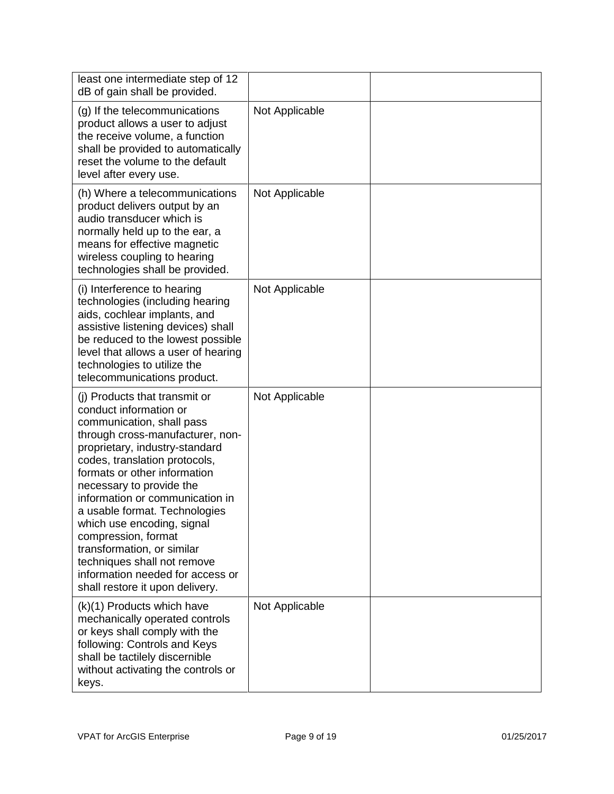| least one intermediate step of 12<br>dB of gain shall be provided.                                                                                                                                                                                                                                                                                                                                                                                                                                                   |                |  |
|----------------------------------------------------------------------------------------------------------------------------------------------------------------------------------------------------------------------------------------------------------------------------------------------------------------------------------------------------------------------------------------------------------------------------------------------------------------------------------------------------------------------|----------------|--|
| (g) If the telecommunications<br>product allows a user to adjust<br>the receive volume, a function<br>shall be provided to automatically<br>reset the volume to the default<br>level after every use.                                                                                                                                                                                                                                                                                                                | Not Applicable |  |
| (h) Where a telecommunications<br>product delivers output by an<br>audio transducer which is<br>normally held up to the ear, a<br>means for effective magnetic<br>wireless coupling to hearing<br>technologies shall be provided.                                                                                                                                                                                                                                                                                    | Not Applicable |  |
| (i) Interference to hearing<br>technologies (including hearing<br>aids, cochlear implants, and<br>assistive listening devices) shall<br>be reduced to the lowest possible<br>level that allows a user of hearing<br>technologies to utilize the<br>telecommunications product.                                                                                                                                                                                                                                       | Not Applicable |  |
| (i) Products that transmit or<br>conduct information or<br>communication, shall pass<br>through cross-manufacturer, non-<br>proprietary, industry-standard<br>codes, translation protocols,<br>formats or other information<br>necessary to provide the<br>information or communication in<br>a usable format. Technologies<br>which use encoding, signal<br>compression, format<br>transformation, or similar<br>techniques shall not remove<br>information needed for access or<br>shall restore it upon delivery. | Not Applicable |  |
| (k)(1) Products which have<br>mechanically operated controls<br>or keys shall comply with the<br>following: Controls and Keys<br>shall be tactilely discernible<br>without activating the controls or<br>keys.                                                                                                                                                                                                                                                                                                       | Not Applicable |  |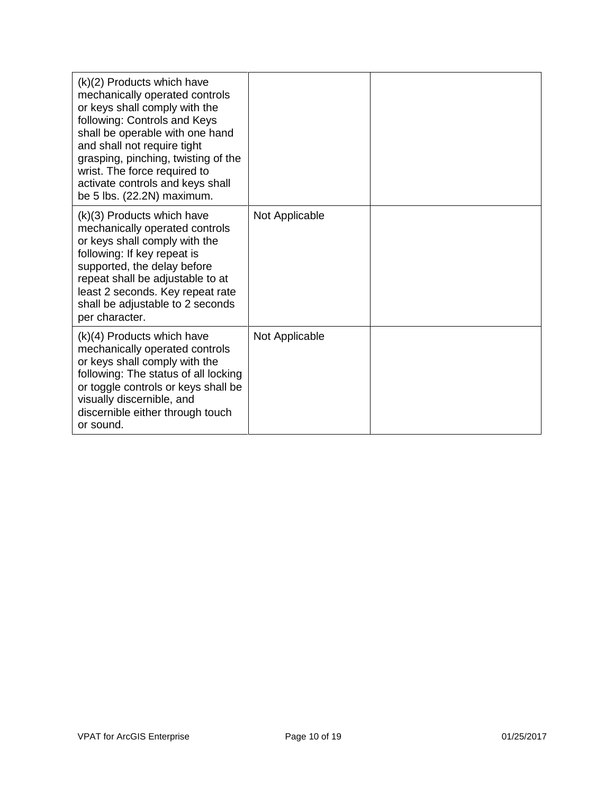| (k)(2) Products which have<br>mechanically operated controls<br>or keys shall comply with the<br>following: Controls and Keys<br>shall be operable with one hand<br>and shall not require tight<br>grasping, pinching, twisting of the<br>wrist. The force required to<br>activate controls and keys shall<br>be 5 lbs. (22.2N) maximum. |                |  |
|------------------------------------------------------------------------------------------------------------------------------------------------------------------------------------------------------------------------------------------------------------------------------------------------------------------------------------------|----------------|--|
| (k)(3) Products which have<br>mechanically operated controls<br>or keys shall comply with the<br>following: If key repeat is<br>supported, the delay before<br>repeat shall be adjustable to at<br>least 2 seconds. Key repeat rate<br>shall be adjustable to 2 seconds<br>per character.                                                | Not Applicable |  |
| $(k)(4)$ Products which have<br>mechanically operated controls<br>or keys shall comply with the<br>following: The status of all locking<br>or toggle controls or keys shall be<br>visually discernible, and<br>discernible either through touch<br>or sound.                                                                             | Not Applicable |  |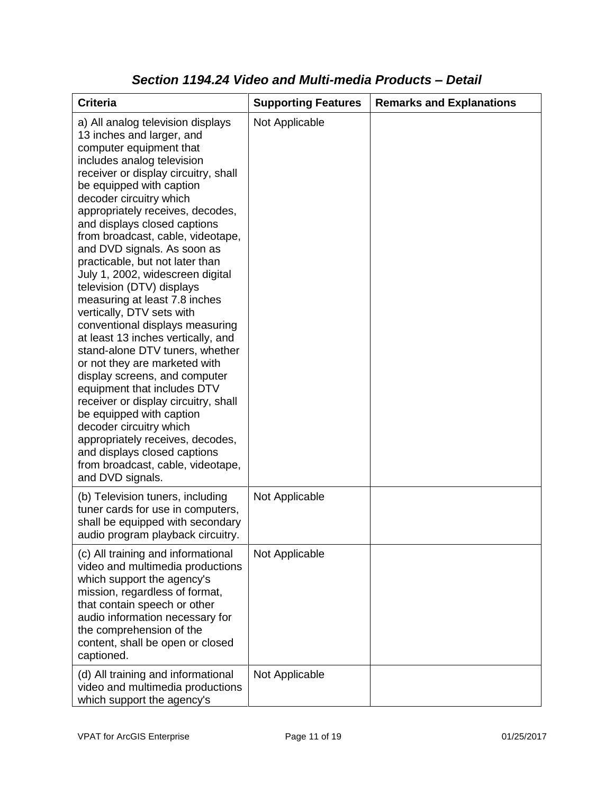| <b>Criteria</b>                                                                                                                                                                                                                                                                                                                                                                                                                                                                                                                                                                                                                                                                                                                                                                                                                                                                                                                                                           | <b>Supporting Features</b> | <b>Remarks and Explanations</b> |
|---------------------------------------------------------------------------------------------------------------------------------------------------------------------------------------------------------------------------------------------------------------------------------------------------------------------------------------------------------------------------------------------------------------------------------------------------------------------------------------------------------------------------------------------------------------------------------------------------------------------------------------------------------------------------------------------------------------------------------------------------------------------------------------------------------------------------------------------------------------------------------------------------------------------------------------------------------------------------|----------------------------|---------------------------------|
| a) All analog television displays<br>13 inches and larger, and<br>computer equipment that<br>includes analog television<br>receiver or display circuitry, shall<br>be equipped with caption<br>decoder circuitry which<br>appropriately receives, decodes,<br>and displays closed captions<br>from broadcast, cable, videotape,<br>and DVD signals. As soon as<br>practicable, but not later than<br>July 1, 2002, widescreen digital<br>television (DTV) displays<br>measuring at least 7.8 inches<br>vertically, DTV sets with<br>conventional displays measuring<br>at least 13 inches vertically, and<br>stand-alone DTV tuners, whether<br>or not they are marketed with<br>display screens, and computer<br>equipment that includes DTV<br>receiver or display circuitry, shall<br>be equipped with caption<br>decoder circuitry which<br>appropriately receives, decodes,<br>and displays closed captions<br>from broadcast, cable, videotape,<br>and DVD signals. | Not Applicable             |                                 |
| (b) Television tuners, including<br>tuner cards for use in computers,<br>shall be equipped with secondary<br>audio program playback circuitry.                                                                                                                                                                                                                                                                                                                                                                                                                                                                                                                                                                                                                                                                                                                                                                                                                            | Not Applicable             |                                 |
| (c) All training and informational<br>video and multimedia productions<br>which support the agency's<br>mission, regardless of format,<br>that contain speech or other<br>audio information necessary for<br>the comprehension of the<br>content, shall be open or closed<br>captioned.                                                                                                                                                                                                                                                                                                                                                                                                                                                                                                                                                                                                                                                                                   | Not Applicable             |                                 |
| (d) All training and informational<br>video and multimedia productions<br>which support the agency's                                                                                                                                                                                                                                                                                                                                                                                                                                                                                                                                                                                                                                                                                                                                                                                                                                                                      | Not Applicable             |                                 |

#### *Section 1194.24 Video and Multi-media Products – Detail*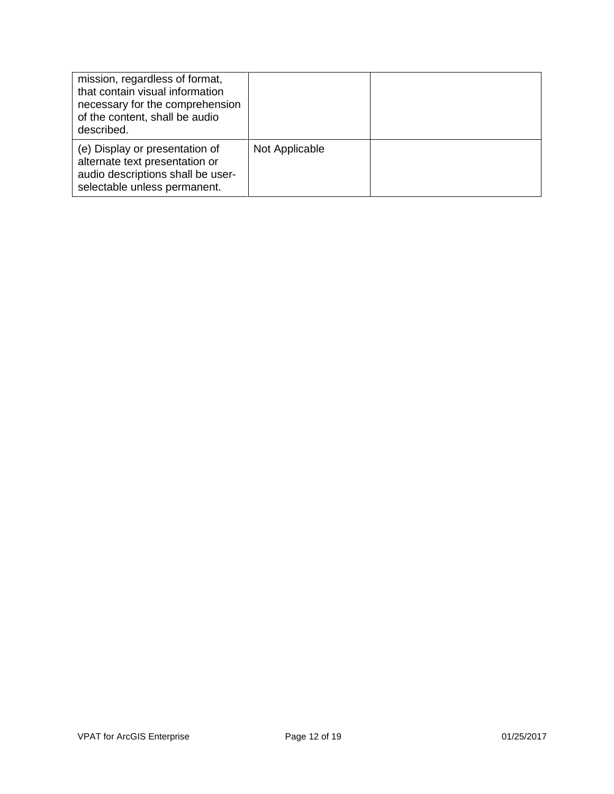| mission, regardless of format,<br>that contain visual information<br>necessary for the comprehension<br>of the content, shall be audio<br>described. |                |  |
|------------------------------------------------------------------------------------------------------------------------------------------------------|----------------|--|
| (e) Display or presentation of<br>alternate text presentation or<br>audio descriptions shall be user-<br>selectable unless permanent.                | Not Applicable |  |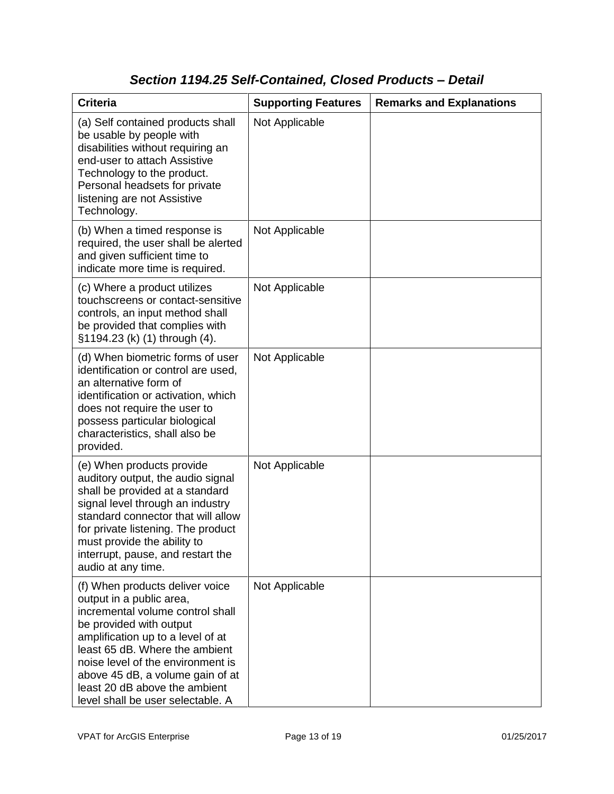### *Section 1194.25 Self-Contained, Closed Products – Detail*

| <b>Criteria</b>                                                                                                                                                                                                                                                                                                                                  | <b>Supporting Features</b> | <b>Remarks and Explanations</b> |
|--------------------------------------------------------------------------------------------------------------------------------------------------------------------------------------------------------------------------------------------------------------------------------------------------------------------------------------------------|----------------------------|---------------------------------|
| (a) Self contained products shall<br>be usable by people with<br>disabilities without requiring an<br>end-user to attach Assistive<br>Technology to the product.<br>Personal headsets for private<br>listening are not Assistive<br>Technology.                                                                                                  | Not Applicable             |                                 |
| (b) When a timed response is<br>required, the user shall be alerted<br>and given sufficient time to<br>indicate more time is required.                                                                                                                                                                                                           | Not Applicable             |                                 |
| (c) Where a product utilizes<br>touchscreens or contact-sensitive<br>controls, an input method shall<br>be provided that complies with<br>§1194.23 (k) (1) through (4).                                                                                                                                                                          | Not Applicable             |                                 |
| (d) When biometric forms of user<br>identification or control are used,<br>an alternative form of<br>identification or activation, which<br>does not require the user to<br>possess particular biological<br>characteristics, shall also be<br>provided.                                                                                         | Not Applicable             |                                 |
| (e) When products provide<br>auditory output, the audio signal<br>shall be provided at a standard<br>signal level through an industry<br>standard connector that will allow<br>for private listening. The product<br>must provide the ability to<br>interrupt, pause, and restart the<br>audio at any time.                                      | Not Applicable             |                                 |
| (f) When products deliver voice<br>output in a public area,<br>incremental volume control shall<br>be provided with output<br>amplification up to a level of at<br>least 65 dB. Where the ambient<br>noise level of the environment is<br>above 45 dB, a volume gain of at<br>least 20 dB above the ambient<br>level shall be user selectable. A | Not Applicable             |                                 |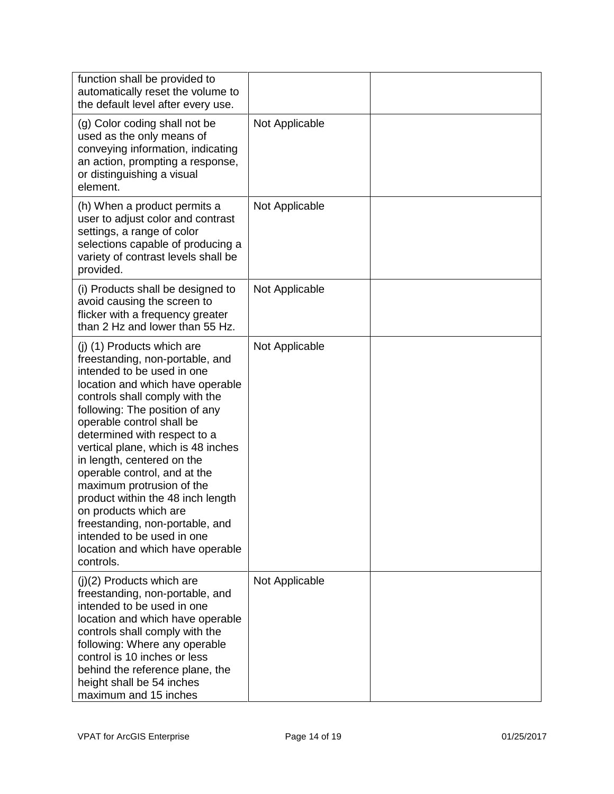| function shall be provided to<br>automatically reset the volume to<br>the default level after every use.                                                                                                                                                                                                                                                                                                                                                                                                                                                                          |                |  |
|-----------------------------------------------------------------------------------------------------------------------------------------------------------------------------------------------------------------------------------------------------------------------------------------------------------------------------------------------------------------------------------------------------------------------------------------------------------------------------------------------------------------------------------------------------------------------------------|----------------|--|
| (g) Color coding shall not be<br>used as the only means of<br>conveying information, indicating<br>an action, prompting a response,<br>or distinguishing a visual<br>element.                                                                                                                                                                                                                                                                                                                                                                                                     | Not Applicable |  |
| (h) When a product permits a<br>user to adjust color and contrast<br>settings, a range of color<br>selections capable of producing a<br>variety of contrast levels shall be<br>provided.                                                                                                                                                                                                                                                                                                                                                                                          | Not Applicable |  |
| (i) Products shall be designed to<br>avoid causing the screen to<br>flicker with a frequency greater<br>than 2 Hz and lower than 55 Hz.                                                                                                                                                                                                                                                                                                                                                                                                                                           | Not Applicable |  |
| (j) (1) Products which are<br>freestanding, non-portable, and<br>intended to be used in one<br>location and which have operable<br>controls shall comply with the<br>following: The position of any<br>operable control shall be<br>determined with respect to a<br>vertical plane, which is 48 inches<br>in length, centered on the<br>operable control, and at the<br>maximum protrusion of the<br>product within the 48 inch length<br>on products which are<br>freestanding, non-portable, and<br>intended to be used in one<br>location and which have operable<br>controls. | Not Applicable |  |
| (j)(2) Products which are<br>freestanding, non-portable, and<br>intended to be used in one<br>location and which have operable<br>controls shall comply with the<br>following: Where any operable<br>control is 10 inches or less<br>behind the reference plane, the<br>height shall be 54 inches<br>maximum and 15 inches                                                                                                                                                                                                                                                        | Not Applicable |  |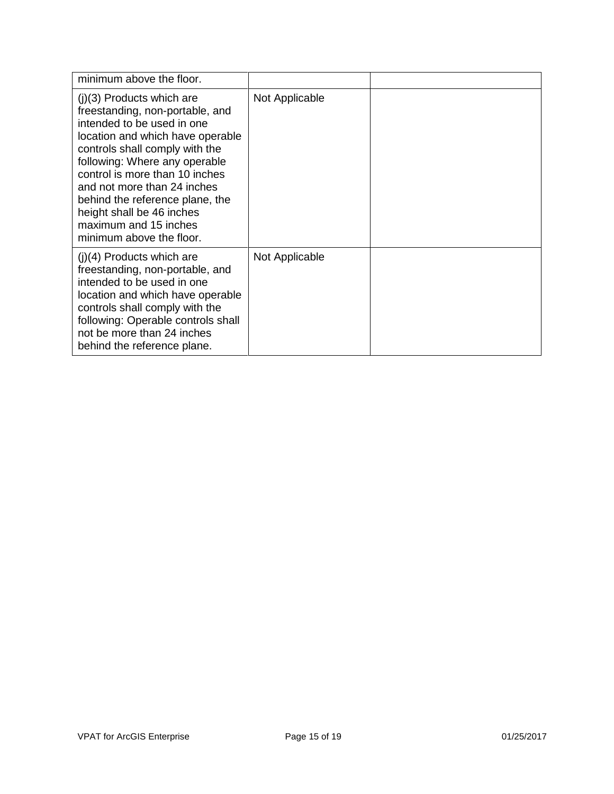| minimum above the floor.                                                                                                                                                                                                                                                                                                                                                                  |                |  |
|-------------------------------------------------------------------------------------------------------------------------------------------------------------------------------------------------------------------------------------------------------------------------------------------------------------------------------------------------------------------------------------------|----------------|--|
| $(j)(3)$ Products which are<br>freestanding, non-portable, and<br>intended to be used in one<br>location and which have operable<br>controls shall comply with the<br>following: Where any operable<br>control is more than 10 inches<br>and not more than 24 inches<br>behind the reference plane, the<br>height shall be 46 inches<br>maximum and 15 inches<br>minimum above the floor. | Not Applicable |  |
| $(i)(4)$ Products which are<br>freestanding, non-portable, and<br>intended to be used in one<br>location and which have operable<br>controls shall comply with the<br>following: Operable controls shall<br>not be more than 24 inches<br>behind the reference plane.                                                                                                                     | Not Applicable |  |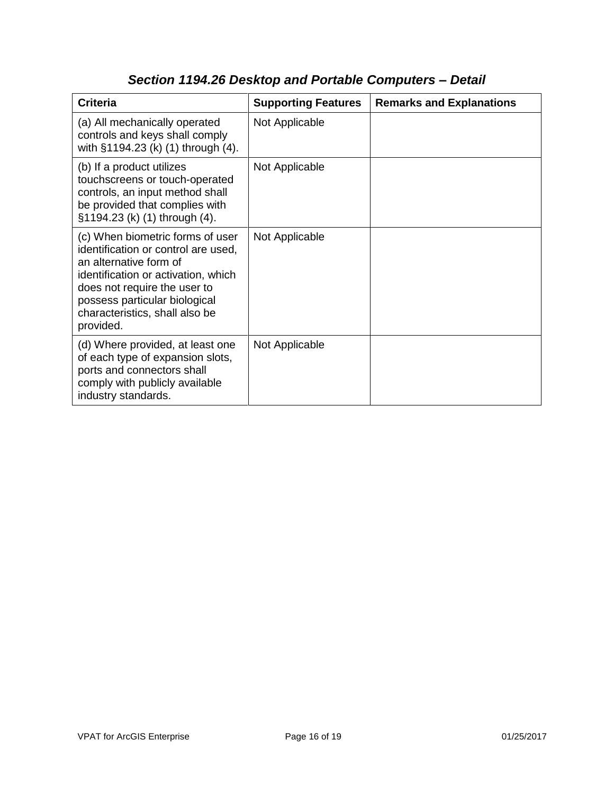| <b>Criteria</b>                                                                                                                                                                                                                                          | <b>Supporting Features</b> | <b>Remarks and Explanations</b> |
|----------------------------------------------------------------------------------------------------------------------------------------------------------------------------------------------------------------------------------------------------------|----------------------------|---------------------------------|
| (a) All mechanically operated<br>controls and keys shall comply<br>with §1194.23 (k) (1) through (4).                                                                                                                                                    | Not Applicable             |                                 |
| (b) If a product utilizes<br>touchscreens or touch-operated<br>controls, an input method shall<br>be provided that complies with<br>§1194.23 (k) (1) through (4).                                                                                        | Not Applicable             |                                 |
| (c) When biometric forms of user<br>identification or control are used,<br>an alternative form of<br>identification or activation, which<br>does not require the user to<br>possess particular biological<br>characteristics, shall also be<br>provided. | Not Applicable             |                                 |
| (d) Where provided, at least one<br>of each type of expansion slots,<br>ports and connectors shall<br>comply with publicly available<br>industry standards.                                                                                              | Not Applicable             |                                 |

# *Section 1194.26 Desktop and Portable Computers – Detail*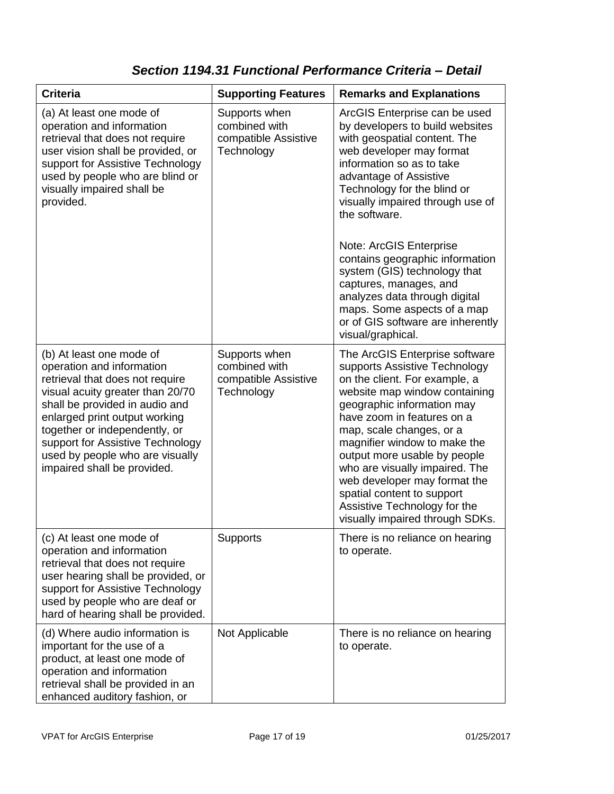### *Section 1194.31 Functional Performance Criteria – Detail*

| <b>Criteria</b>                                                                                                                                                                                                                                                                                                                        | <b>Supporting Features</b>                                           | <b>Remarks and Explanations</b>                                                                                                                                                                                                                                                                                                                                                                                                                                                                      |
|----------------------------------------------------------------------------------------------------------------------------------------------------------------------------------------------------------------------------------------------------------------------------------------------------------------------------------------|----------------------------------------------------------------------|------------------------------------------------------------------------------------------------------------------------------------------------------------------------------------------------------------------------------------------------------------------------------------------------------------------------------------------------------------------------------------------------------------------------------------------------------------------------------------------------------|
| (a) At least one mode of<br>operation and information<br>retrieval that does not require<br>user vision shall be provided, or<br>support for Assistive Technology<br>used by people who are blind or<br>visually impaired shall be<br>provided.                                                                                        | Supports when<br>combined with<br>compatible Assistive<br>Technology | ArcGIS Enterprise can be used<br>by developers to build websites<br>with geospatial content. The<br>web developer may format<br>information so as to take<br>advantage of Assistive<br>Technology for the blind or<br>visually impaired through use of<br>the software.<br>Note: ArcGIS Enterprise<br>contains geographic information<br>system (GIS) technology that<br>captures, manages, and<br>analyzes data through digital<br>maps. Some aspects of a map<br>or of GIS software are inherently |
| (b) At least one mode of<br>operation and information<br>retrieval that does not require<br>visual acuity greater than 20/70<br>shall be provided in audio and<br>enlarged print output working<br>together or independently, or<br>support for Assistive Technology<br>used by people who are visually<br>impaired shall be provided. | Supports when<br>combined with<br>compatible Assistive<br>Technology | visual/graphical.<br>The ArcGIS Enterprise software<br>supports Assistive Technology<br>on the client. For example, a<br>website map window containing<br>geographic information may<br>have zoom in features on a<br>map, scale changes, or a<br>magnifier window to make the<br>output more usable by people<br>who are visually impaired. The<br>web developer may format the<br>spatial content to support<br>Assistive Technology for the<br>visually impaired through SDKs.                    |
| (c) At least one mode of<br>operation and information<br>retrieval that does not require<br>user hearing shall be provided, or<br>support for Assistive Technology<br>used by people who are deaf or<br>hard of hearing shall be provided.                                                                                             | <b>Supports</b>                                                      | There is no reliance on hearing<br>to operate.                                                                                                                                                                                                                                                                                                                                                                                                                                                       |
| (d) Where audio information is<br>important for the use of a<br>product, at least one mode of<br>operation and information<br>retrieval shall be provided in an<br>enhanced auditory fashion, or                                                                                                                                       | Not Applicable                                                       | There is no reliance on hearing<br>to operate.                                                                                                                                                                                                                                                                                                                                                                                                                                                       |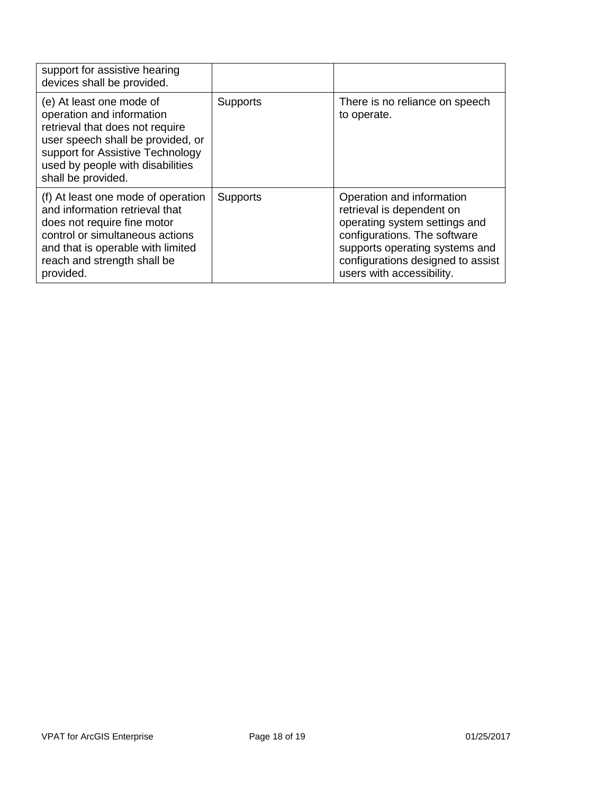| support for assistive hearing<br>devices shall be provided.                                                                                                                                                                 |                 |                                                                                                                                                                                                                             |
|-----------------------------------------------------------------------------------------------------------------------------------------------------------------------------------------------------------------------------|-----------------|-----------------------------------------------------------------------------------------------------------------------------------------------------------------------------------------------------------------------------|
| (e) At least one mode of<br>operation and information<br>retrieval that does not require<br>user speech shall be provided, or<br>support for Assistive Technology<br>used by people with disabilities<br>shall be provided. | <b>Supports</b> | There is no reliance on speech<br>to operate.                                                                                                                                                                               |
| (f) At least one mode of operation<br>and information retrieval that<br>does not require fine motor<br>control or simultaneous actions<br>and that is operable with limited<br>reach and strength shall be<br>provided.     | <b>Supports</b> | Operation and information<br>retrieval is dependent on<br>operating system settings and<br>configurations. The software<br>supports operating systems and<br>configurations designed to assist<br>users with accessibility. |